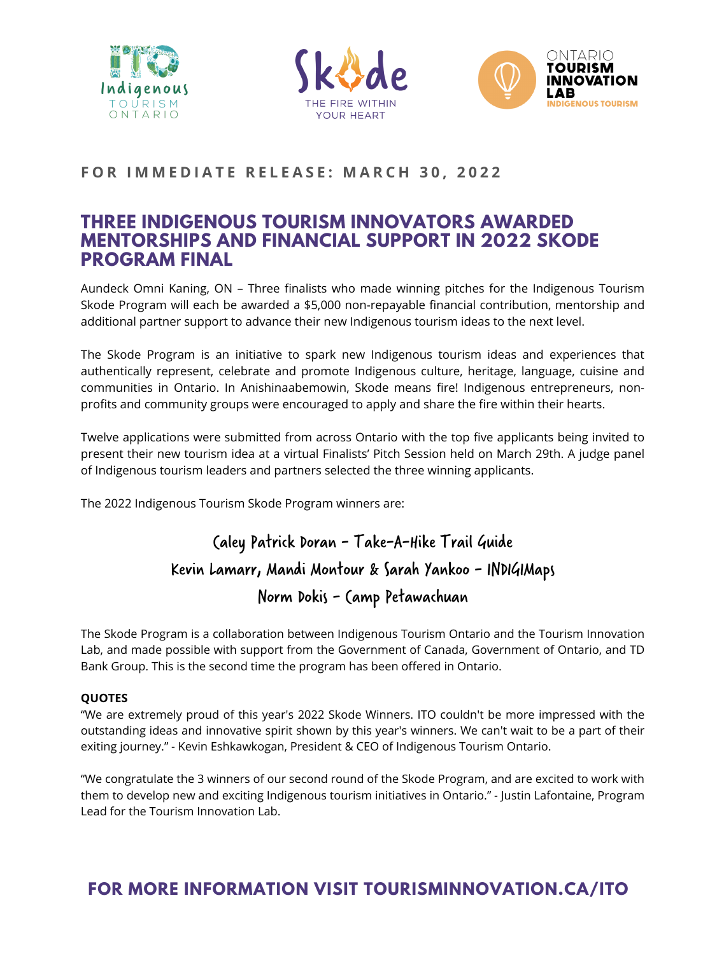





### FOR IMMEDIATE RELEASE: MARCH 30, 2022

# Caley Patrick Doran - Take-A-Hike Trail Guide Kevin Lamarr, Mandi Montour & Sarah Yankoo - INDIGIMaps Norm Dokis - Camp Petawachuan

### **THREE INDIGENOUS TOURISM INNOVATORS AWARDED MENTORSHIPS AND FINANCIAL SUPPORT IN 2022 SKODE PROGRAM FINAL**

Aundeck Omni Kaning, ON – Three finalists who made winning pitches for the Indigenous Tourism Skode Program will each be awarded a \$5,000 non-repayable financial contribution, mentorship and additional partner support to advance their new Indigenous tourism ideas to the next level.

The Skode Program is an initiative to spark new Indigenous tourism ideas and experiences that authentically represent, celebrate and promote Indigenous culture, heritage, language, cuisine and communities in Ontario. In Anishinaabemowin, Skode means fire! Indigenous entrepreneurs, nonprofits and community groups were encouraged to apply and share the fire within their hearts.

Twelve applications were submitted from across Ontario with the top five applicants being invited to present their new tourism idea at a virtual Finalists' Pitch Session held on March 29th. A judge panel of Indigenous tourism leaders and partners selected the three winning applicants.

The 2022 Indigenous Tourism Skode Program winners are:

The Skode Program is a collaboration between Indigenous Tourism Ontario and the Tourism Innovation Lab, and made possible with support from the Government of Canada, Government of Ontario, and TD Bank Group. This is the second time the program has been offered in Ontario.

#### **QUOTES**

"We are extremely proud of this year's 2022 Skode Winners. ITO couldn't be more impressed with the outstanding ideas and innovative spirit shown by this year's winners. We can't wait to be a part of their exiting journey." - Kevin Eshkawkogan, President & CEO of Indigenous Tourism Ontario.

"We congratulate the 3 winners of our second round of the Skode Program, and are excited to work with them to develop new and exciting Indigenous tourism initiatives in Ontario." - Justin Lafontaine, Program Lead for the Tourism Innovation Lab.

## **FOR MORE INFORMATION VISIT [TOURISMINNOVATION.CA/ITO](http://tourisminnovation.ca/ITO)**